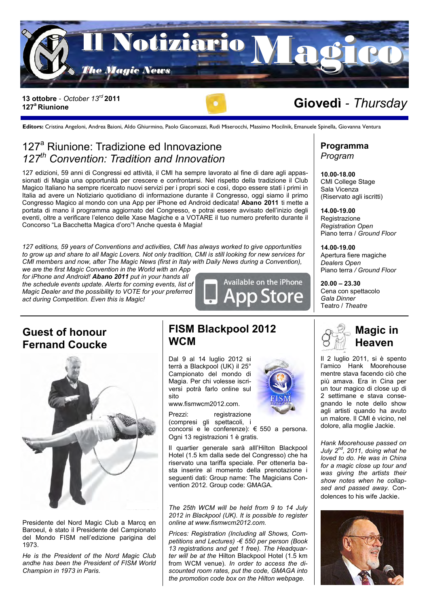

#### 13 ottobre - *October 13<sup>rd</sup>* 2011<br>127<sup>ª</sup> Riunione **127<sup>a</sup>Riunione**

**Editors:** Cristina Angeloni, Andrea Baioni, Aldo Ghiurmino, Paolo Giacomazzi, Rudi Miserocchi, Massimo Mocilnik, Emanuele Spinella, Giovanna Ventura

### 127<sup>ª</sup> Riunione: Tradizione ed Innovazione *127th Convention: Tradition and Innovation*

127 edizioni, 59 anni di Congressi ed attività, il CMI ha sempre lavorato al fine di dare agli appassionati di Magia una opportunità per crescere e confrontarsi. Nel rispetto della tradizione il Club Magico Italiano ha sempre ricercato nuovi servizi per i propri soci e così, dopo essere stati i primi in Italia ad avere un Notiziario quotidiano di informazione durante il Congresso, oggi siamo il primo Congresso Magico al mondo con una App per iPhone ed Android dedicata! **Abano 2011** ti mette a portata di mano il programma aggiornato del Congresso, e potrai essere avvisato dell'inizio degli eventi, oltre a verificare l'elenco delle Xase Magiche e a VOTARE il tuo numero preferito durante il Concorso "La Bacchetta Magica d'oro"! Anche questa è Magia!

*127 editions, 59 years of Conventions and activities, CMI has always worked to give opportunities to grow up and share to all Magic Lovers. Not only tradition, CMI is still looking for new services for CMI members and now, after The Magic News (first in Italy with Daily News during a Convention),* 

*we are the first Magic Convention in the World with an App for iPhone and Android! Abano 2011 put in your hands all the schedule events update. Alerts for coming events, list of Magic Dealer and the possibility to VOTE for your preferred act during Competition. Even this is Magic!*



### **Guest of honour Fernand Coucke**



Presidente del Nord Magic Club a Marcq en Baroeul, è stato il Presidente del Campionato del Mondo FISM nell'edizione parigina del 1973.

*He is the President of the Nord Magic Club andhe has been the President of FISM World Champion in 1973 in Paris.*

### **FISM Blackpool 2012 WCM**

Dal 9 al 14 luglio 2012 si terrà a Blackpool (UK) il 25° Campionato del mondo di Magia. Per chi volesse iscriversi potrà farlo online sul sito



www.fismwcm2012.com.

Prezzi: registrazione (compresi gli spettacoli, i concorsi e le conferenze): € 550 a persona. Ogni 13 registrazioni 1 è gratis.

Il quartier generale sarà alll'Hilton Blackpool Hotel (1.5 km dalla sede del Congresso) che ha riservato una tariffa speciale. Per ottenerla basta inserire al momento della prenotazione i seguenti dati: Group name: The Magicians Convention 2012. Group code: GMAGA.

*The 25th WCM will be held from 9 to 14 July 2012 in Blackpool (UK). It is possible to register online at www.fismwcm2012.com.* 

*Prices: Registration (Including all Shows, Competitions and Lectures) -€ 550 per person (Book 13 registrations and get 1 free). The Headquarter will be at the* Hilton Blackpool Hotel (1.5 km from WCM venue). *In order to access the discounted room rates, put the code, GMAGA into the promotion code box on the Hilton webpage.*

# **Programma**

*Program*

**10.00-18.00** CMI College Stage Sala Vicenza (Riservato agli iscritti)

**14.00-19.00 Registrazione** *Registration Open* Piano terra / *Ground Floor*

**14.00-19.00** Apertura fiere magiche *Dealers Open* Piano terra */ Ground Floor*

**20.00 – 23.30** Cena con spettacolo *Gala Dinner* Teatro / *Theatre*



Il 2 luglio 2011, si è spento l'amico Hank Moorehouse mentre stava facendo ciò che più amava. Era in Cina per un tour magico di close up di 2 settimane e stava consegnando le note dello show agli artisti quando ha avuto un malore. Il CMI è vicino, nel dolore, alla moglie Jackie.

*Hank Moorehouse passed on July 2nd, 2011, doing what he loved to do. He was in China for a magic close up tour and was giving the artists their show notes when he collapsed and passed away.* Condolences to his wife Jackie.